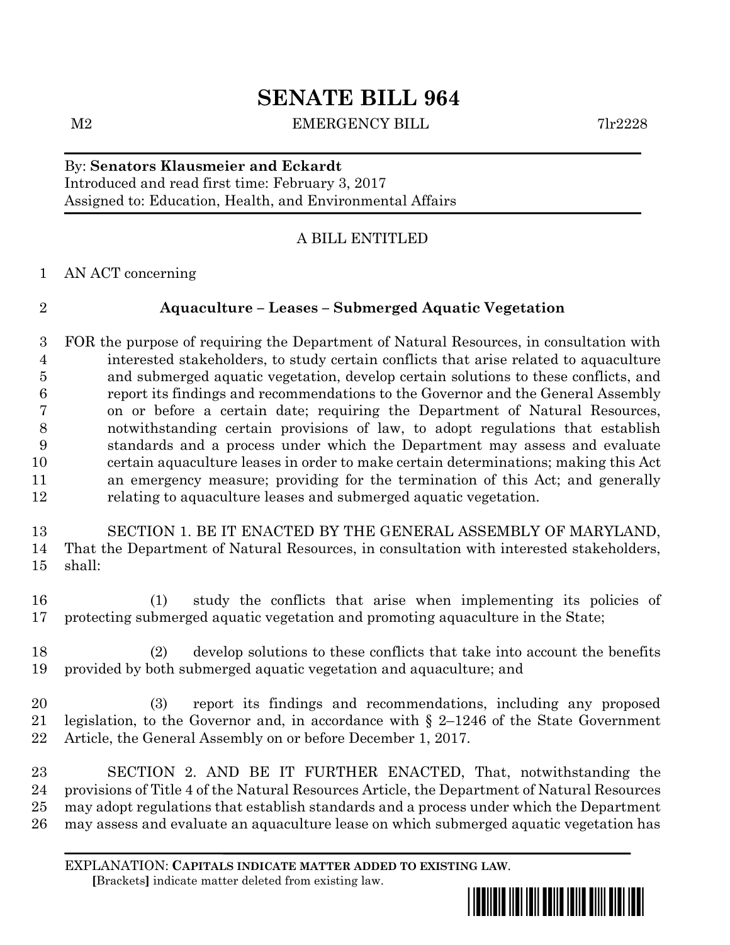# **SENATE BILL 964**

M2 EMERGENCY BILL 7lr2228

### By: **Senators Klausmeier and Eckardt** Introduced and read first time: February 3, 2017 Assigned to: Education, Health, and Environmental Affairs

## A BILL ENTITLED

AN ACT concerning

## **Aquaculture – Leases – Submerged Aquatic Vegetation**

 FOR the purpose of requiring the Department of Natural Resources, in consultation with interested stakeholders, to study certain conflicts that arise related to aquaculture and submerged aquatic vegetation, develop certain solutions to these conflicts, and report its findings and recommendations to the Governor and the General Assembly on or before a certain date; requiring the Department of Natural Resources, notwithstanding certain provisions of law, to adopt regulations that establish standards and a process under which the Department may assess and evaluate certain aquaculture leases in order to make certain determinations; making this Act an emergency measure; providing for the termination of this Act; and generally relating to aquaculture leases and submerged aquatic vegetation.

 SECTION 1. BE IT ENACTED BY THE GENERAL ASSEMBLY OF MARYLAND, That the Department of Natural Resources, in consultation with interested stakeholders, shall:

 (1) study the conflicts that arise when implementing its policies of protecting submerged aquatic vegetation and promoting aquaculture in the State;

 (2) develop solutions to these conflicts that take into account the benefits provided by both submerged aquatic vegetation and aquaculture; and

 (3) report its findings and recommendations, including any proposed legislation, to the Governor and, in accordance with § 2–1246 of the State Government Article, the General Assembly on or before December 1, 2017.

 SECTION 2. AND BE IT FURTHER ENACTED, That, notwithstanding the provisions of Title 4 of the Natural Resources Article, the Department of Natural Resources may adopt regulations that establish standards and a process under which the Department may assess and evaluate an aquaculture lease on which submerged aquatic vegetation has

EXPLANATION: **CAPITALS INDICATE MATTER ADDED TO EXISTING LAW**.  **[**Brackets**]** indicate matter deleted from existing law.